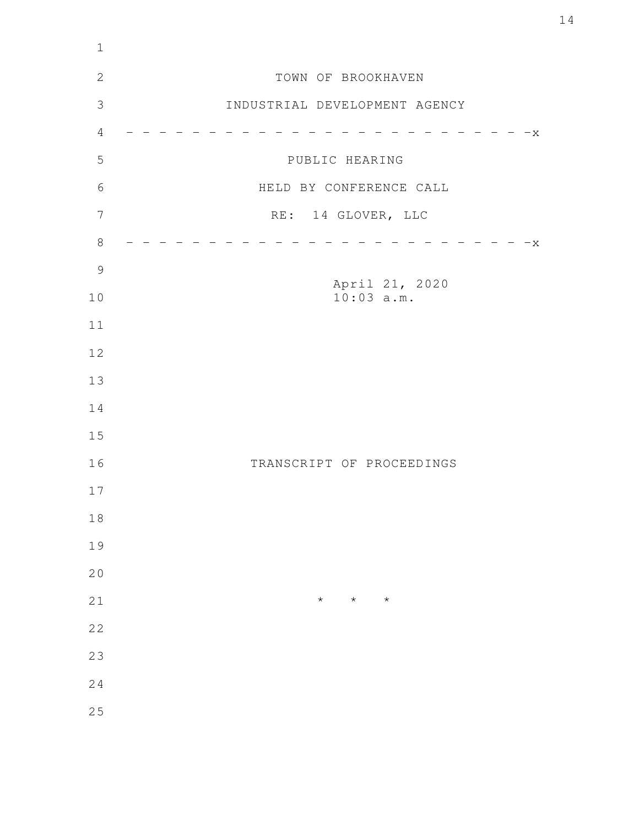| $1\,$          |                               |
|----------------|-------------------------------|
| $\mathbf{2}$   | TOWN OF BROOKHAVEN            |
| $\mathfrak{Z}$ | INDUSTRIAL DEVELOPMENT AGENCY |
| $\overline{4}$ | $-x$                          |
| 5              | PUBLIC HEARING                |
| $\sqrt{6}$     | HELD BY CONFERENCE CALL       |
| $\overline{7}$ | RE: 14 GLOVER, LLC            |
| $\,8\,$        | $-x$                          |
| $\mathcal{G}$  | April 21, 2020                |
| 10             | $10:03$ a.m.                  |
| 11             |                               |
| 12             |                               |
| 13             |                               |
| 14             |                               |
| 15             |                               |
| 16             | TRANSCRIPT OF PROCEEDINGS     |
| 17             |                               |
| $1\,8$         |                               |
| 19             |                               |
| 20             |                               |
| 21             | $\star$<br>$\star$<br>$\star$ |
| 22             |                               |
| 23             |                               |
| 24             |                               |
| 25             |                               |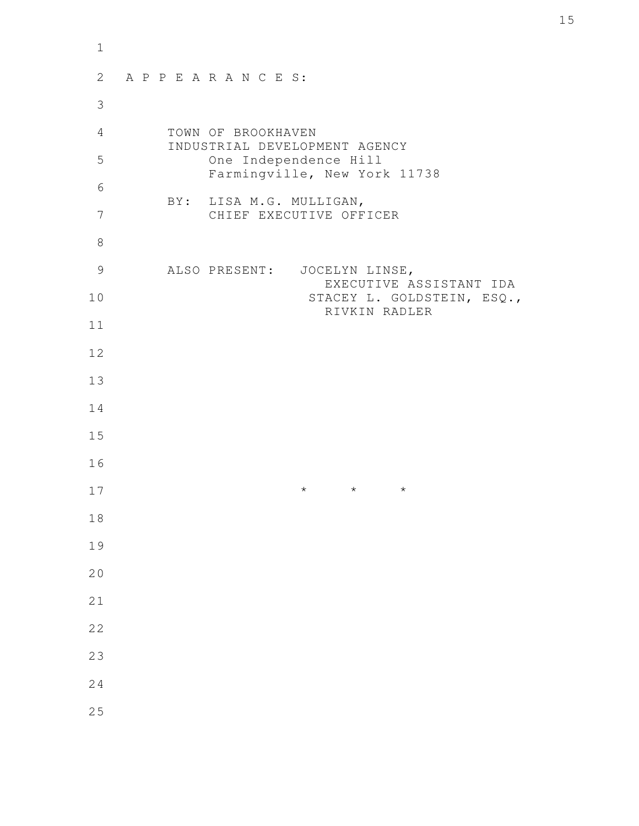| $\mathbf 1$ |                                                         |  |
|-------------|---------------------------------------------------------|--|
| 2           | APPEARANCES:                                            |  |
| 3           |                                                         |  |
| 4           | TOWN OF BROOKHAVEN<br>INDUSTRIAL DEVELOPMENT AGENCY     |  |
| 5           | One Independence Hill<br>Farmingville, New York 11738   |  |
| 6           | BY: LISA M.G. MULLIGAN,                                 |  |
| 7           | CHIEF EXECUTIVE OFFICER                                 |  |
| 8           |                                                         |  |
| 9           | ALSO PRESENT: JOCELYN LINSE,<br>EXECUTIVE ASSISTANT IDA |  |
| 10          | STACEY L. GOLDSTEIN, ESQ.,<br>RIVKIN RADLER             |  |
| 11          |                                                         |  |
| 12          |                                                         |  |
| 13          |                                                         |  |
| 14          |                                                         |  |
| 15          |                                                         |  |
| 16          |                                                         |  |
| 17          | $^\star$<br>$\star$<br>$\star$                          |  |
| 18          |                                                         |  |
| 19          |                                                         |  |
| 20          |                                                         |  |
| 21          |                                                         |  |
| 22          |                                                         |  |
| 23          |                                                         |  |
| 24          |                                                         |  |
| 25          |                                                         |  |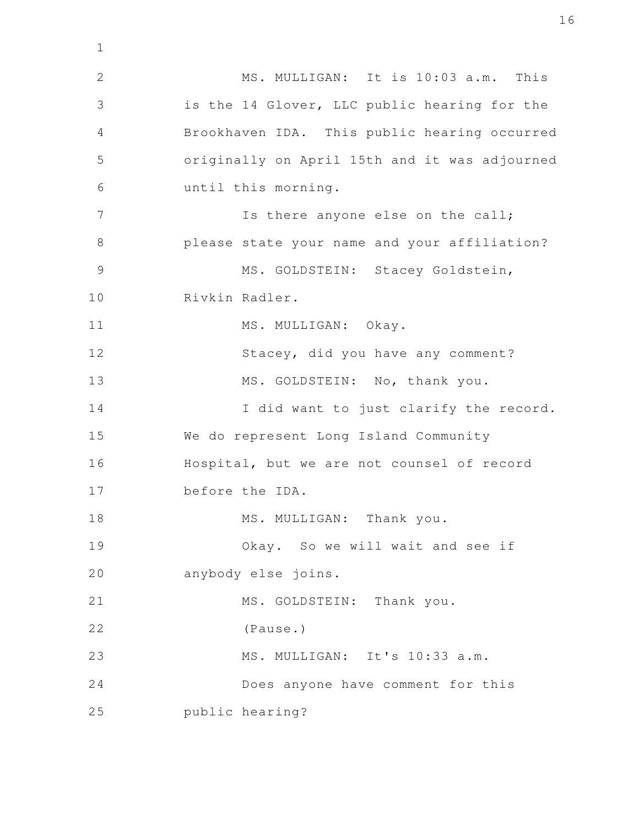MS. MULLIGAN: It is 10:03 a.m. This is the 14 Glover, LLC public hearing for the Brookhaven IDA. This public hearing occurred originally on April 15th and it was adjourned until this morning. Is there anyone else on the call; please state your name and your affiliation? MS. GOLDSTEIN: Stacey Goldstein, Rivkin Radler. MS. MULLIGAN: Okay. Stacey, did you have any comment? MS. GOLDSTEIN: No, thank you. I did want to just clarify the record. We do represent Long Island Community Hospital, but we are not counsel of record before the IDA. MS. MULLIGAN: Thank you. Okay. So we will wait and see if anybody else joins. MS. GOLDSTEIN: Thank you. (Pause.) MS. MULLIGAN: It's 10:33 a.m. Does anyone have comment for this public hearing? 2 3 4 5 6 7 8 9 10 11 12 13 14 15 16 17 18 19 20 21 22 23 24 25

1

16